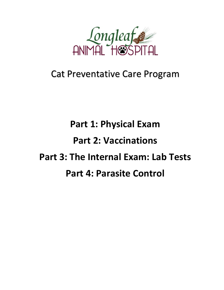

## Cat Preventative Care Program

## **Part 1: Physical Exam Part 2: Vaccinations Part 3: The Internal Exam: Lab Tests Part 4: Parasite Control**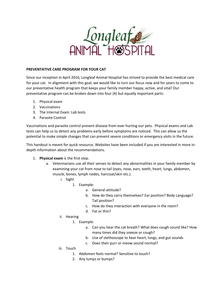

## **PREVENTATIVE CARE PROGRAM FOR YOUR CAT**

Since our inception in April 2016, Longleaf Animal Hospital has strived to provide the best medical care for your cat. In alignment with this goal, we would like to turn our focus now and for years to come to our preventative health program that keeps your family member happy, active, and vital! Our preventative program can be broken down into four (4) but equally important parts:

- 1. Physical exam
- 2. Vaccinations
- 3. The Internal Exam: Lab tests
- 4. Parasite Control

Vaccinations and parasite control prevent disease from ever hurting our pets. Physical exams and Lab tests can help us to detect any problems early before symptoms are noticed. This can allow us the potential to make simple changes that can prevent severe conditions or emergency visits in the future.

This handout is meant for quick resource. Websites have been included if you are interested in more indepth information about the recommendations.

- 1. **Physical exam** is the first step.
	- a. Veterinarians use all their senses to detect any abnormalities in your family member by examining your cat from nose to tail (eyes, nose, ears, teeth, heart, lungs, abdomen, muscle, bones, lymph nodes, haircoat/skin etc.).
		- i. Sight
			- 1. Example:
				- a. General attitude?
				- b. How do they carry themselves? Ear position? Body Language? Tail position?
				- c. How do they interaction with everyone in the room?
				- d. Fat or thin?
		- ii. Hearing
			- 1. Example:
				- a. Can you hear the cat breath? What does cough sound like? How many times did they sneeze or cough?
				- b. Use of stethoscope to hear heart, lungs, and gut sounds
				- c. Does their purr or meow sound normal?
		- iii. Touch
			- 1. Abdomen feels normal? Sensitive to touch?
			- 2. Any lumps or bumps?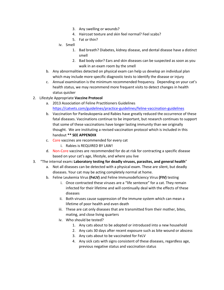- 3. Any swelling or wounds?
- 4. Haircoat texture and skin feel normal? Feel scabs?
- 5. Fat or thin?
- iv. Smell
	- 1. Bad breath? Diabetes, kidney disease, and dental disease have a distinct smell
	- 2. Bad body odor? Ears and skin diseases can be suspected as soon as you walk in an exam room by the smell
- b. Any abnormalities detected on physical exam can help us develop an individual plan which may include more specific diagnostic tests to identify the disease or injury
- c. Annual examination is the minimum recommended frequency. Depending on your cat's health status, we may recommend more frequent visits to detect changes in health status quicker
- 2. Lifestyle Appropriate **Vaccine Protocol**
	- a. 2013 Association of Feline Practitioners Guidelines <https://catvets.com/guidelines/practice-guidelines/feline-vaccination-guidelines>
	- b. Vaccination for Panleukopenia and Rabies have greatly reduced the occurrence of these fatal diseases. Vaccinations continue to be important, but research continues to support that some of these vaccinations have longer lasting immunity than we originally thought. We are instituting a revised vaccination protocol which is included in this handout **\*\* SEE APPENDIX**
	- c. Core vaccines are recommended for every cat
		- i. Rabies is REQUIRED BY LAW!
	- d. Non-Core vaccines are recommended for do at risk for contracting a specific disease based on your cat's age, lifestyle, and where you live
- 3. "The internal exam**: Laboratory testing for deadly viruses, parasites, and general health**"
	- a. Not all diseases can be detected with a physical exam. These are silent, but deadly diseases. Your cat may be acting completely normal at home.
	- b. Feline Leukemia Virus **(FeLV)** and Feline Immunodeficiency Virus **(FIV)** testing
		- i. Once contracted these viruses are a "life sentence" for a cat. They remain infected for their lifetime and will continually deal with the effects of these diseases
		- ii. Both viruses cause suppression of the immune system which can mean a lifetime of poor health and even death
		- iii. These are cat only diseases that are transmitted from their mother, bites, mating, and close living quarters
		- iv. Who should be tested?
			- 1. Any cats about to be adopted or introduced into a new household
			- 2. Any cats 30 days after recent exposure such as bite wound or abscess
			- 3. Any cats about to be vaccinated for FeLV
			- 4. Any sick cats with signs consistent of these diseases, regardless age, previous negative status and vaccination status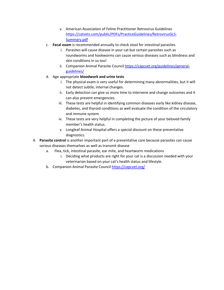- v. American Association of Feline Practitioner Retrovirus Guidelines [https://catvets.com/public/PDFs/PracticeGuidelines/RetrovirusGLS-](https://catvets.com/public/PDFs/PracticeGuidelines/RetrovirusGLS-Summary.pdf)[Summary.pdf](https://catvets.com/public/PDFs/PracticeGuidelines/RetrovirusGLS-Summary.pdf)
- c. **Fecal exam** is recommended annually to check stool for intestinal parasites
	- i. Parasites will cause disease in your cat but certain parasites such as roundworms and hookworms can cause serious diseases such as blindness and skin conditions in us too!
	- ii. Companion Animal Parasite Counci[l https://capcvet.org/guidelines/general](https://capcvet.org/guidelines/general-guidelines/)[guidelines/](https://capcvet.org/guidelines/general-guidelines/)
- d. Age appropriate **bloodwork and urine tests**
	- i. The physical exam is very useful for determining many abnormalities, but it will not detect subtle, internal changes.
	- ii. Early detection can give us more time to intervene and change outcomes and it can also prevent emergencies.
	- iii. These tests are helpful in identifying common diseases early like kidney disease, diabetes, and thyroid conditions as well evaluate the condition of the circulatory and immune system
	- iv. These tests are very helpful in completing the picture of your beloved family member's health status.
	- v. Longleaf Animal Hospital offers a special discount on these preventative diagnostics.
- 4. **Parasite control** is another important part of a preventative care because parasites can cause serious diseases themselves as well as transmit disease
	- a. Flea, tick, intestinal parasite, ear mite, and heartworm medications
		- i. Deciding what products are right for your cat is a discussion needed with your veterinarian based on your cat's health status and lifestyle.
	- b. Companion Animal Parasite Counci[l https://capcvet.org/](https://capcvet.org/)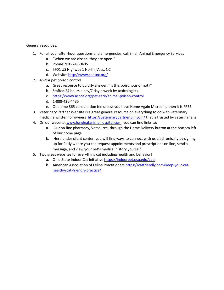General resources:

- 1. For all your after-hour questions and emergencies, call Small Animal Emergency Services
	- a. "When we are closed, they are open!"
	- b. Phone: 910-246-0405
	- c. 5901 US Highway 1 North, Vass, NC
	- d. Website[: http://www.saesnc.org/](http://www.saesnc.org/)
- 2. ASPCA pet poison control
	- a. Great resource to quickly answer: "Is this poisonous or not?"
	- b. Staffed 24 hours a day/7 day a week by toxicologists
	- c. <https://www.aspca.org/pet-care/animal-poison-control>
	- d. 1-888-426-4435
	- e. One time \$65 consultation fee unless you have Home Again Microchip then it is FREE!
- 3. Veterinary Partner Website is a great general resource on everything to do with veterinary medicine written for owners <https://veterinarypartner.vin.com/> that is trusted by veterinarians
- 4. On our website, [www.longleafanimalhospital.com,](http://www.longleafanimalhospital.com/) you can find links to:
	- a. Our on-line pharmacy, Vetsource, through the Home Delivery button at the bottom left of our home page
	- b. Here under client center, you will find ways to connect with us electronically by signing up for Petly where you can request appointments and prescriptions on line, send a message, and view your pet's medical history yourself.
- 5. Two great websites for everything cat including health and behavior!
	- a. Ohio State Indoor Cat Initiative<https://indoorpet.osu.edu/cats>
	- b. American Association of Feline Practitioners [https://catfriendly.com/keep-your-cat](https://catfriendly.com/keep-your-cat-healthy/cat-friendly-practice/)[healthy/cat-friendly-practice/](https://catfriendly.com/keep-your-cat-healthy/cat-friendly-practice/)